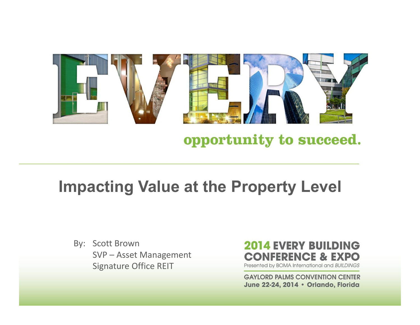

#### opportunity to succeed.

#### **Impacting Value at the Property Level**

By: Scott Brown SVP – Asset Management Signature Office REIT

#### **2014 EVERY BUILDING CONFERENCE & EXPO**

Presented by BOMA International and BUILDINGS

**GAYLORD PALMS CONVENTION CENTER** June 22-24, 2014 · Orlando, Florida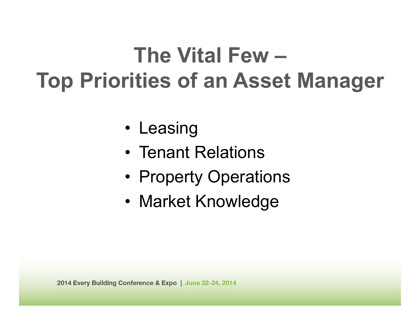# **The Vital Few –Top Priorities of an Asset Manager**

- Leasing
- Tenant Relations
- •Property Operations
- Market Knowledge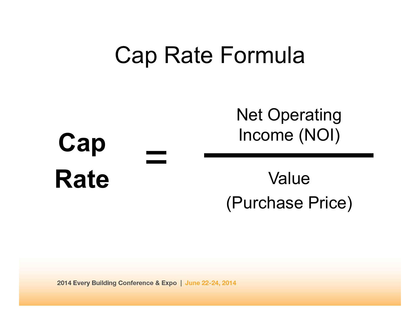## Cap Rate Formula

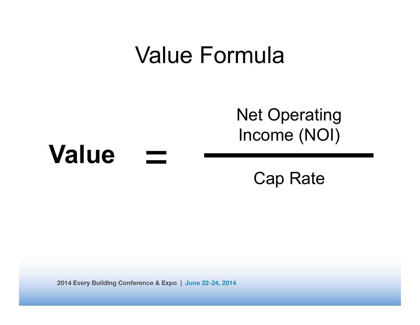## Value Formula

### Net Operating Income (NOI)

#### **Value**==

Cap Rate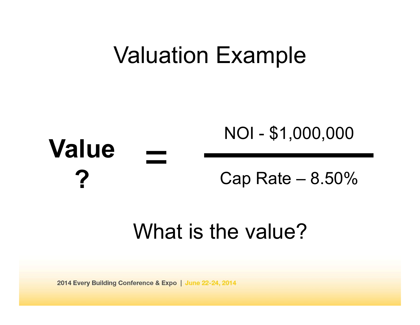## Valuation Example

#### **Value?**== NOI - \$1,000,000 Cap Rate – 8.50%

### What is the value?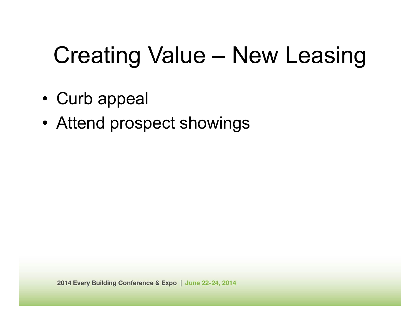# Creating Value – New Leasing

- •Curb appeal
- Attend prospect showings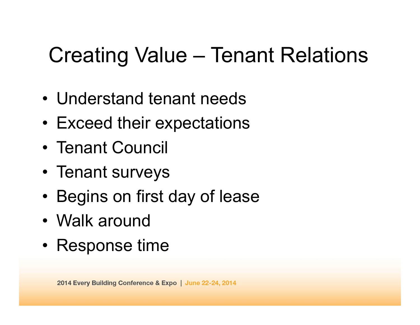## Creating Value – Tenant Relations

- Understand tenant needs
- Exceed their expectations
- Tenant Council
- Tenant surveys
- •Begins on first day of lease
- Walk around
- Response time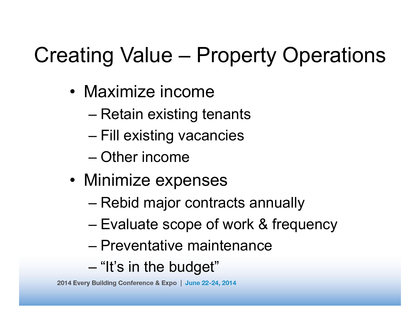# Creating Value – Property Operations

- Maximize income
	- –Retain existing tenants
	- –Fill existing vacancies
	- Other income
- Minimize expenses
	- –Rebid major contracts annually
	- –Evaluate scope of work & frequency
	- Preventative maintenance
	- –"It's in the budget"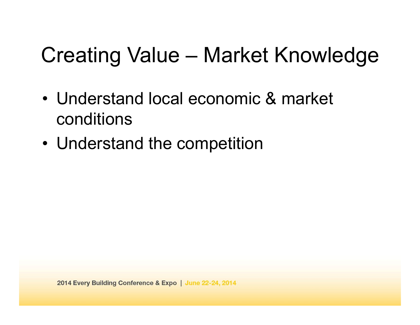## Creating Value – Market Knowledge

- Understand local economic & market conditions
- Understand the competition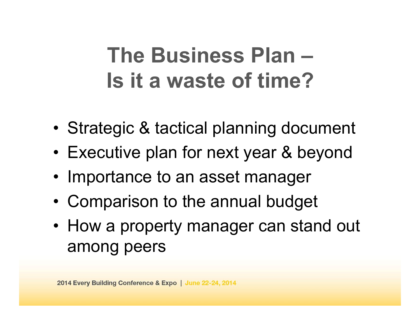## **The Business Plan –Is it a waste of time?**

- •Strategic & tactical planning document
- •Executive plan for next year & beyond
- Importance to an asset manager
- •Comparison to the annual budget
- How a property manager can stand out among peers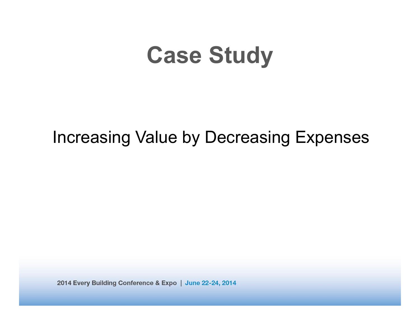# **Case Study**

#### Increasing Value by Decreasing Expenses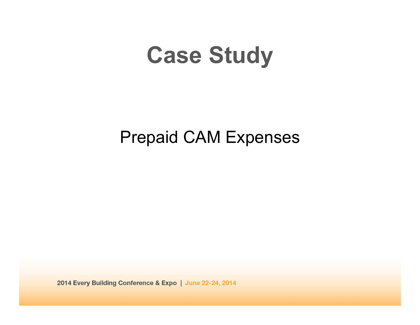# **Case Study**

### Prepaid CAM Expenses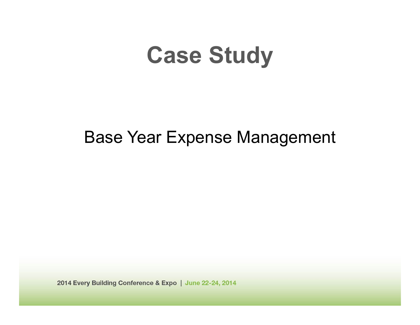# **Case Study**

### Base Year Expense Management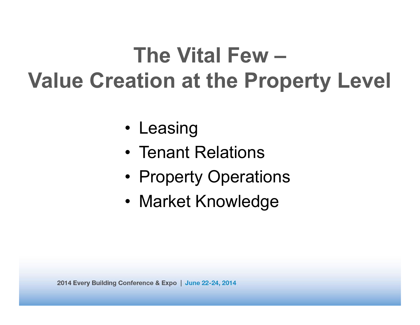# **The Vital Few –Value Creation at the Property Level**

- Leasing
- Tenant Relations
- •Property Operations
- Market Knowledge